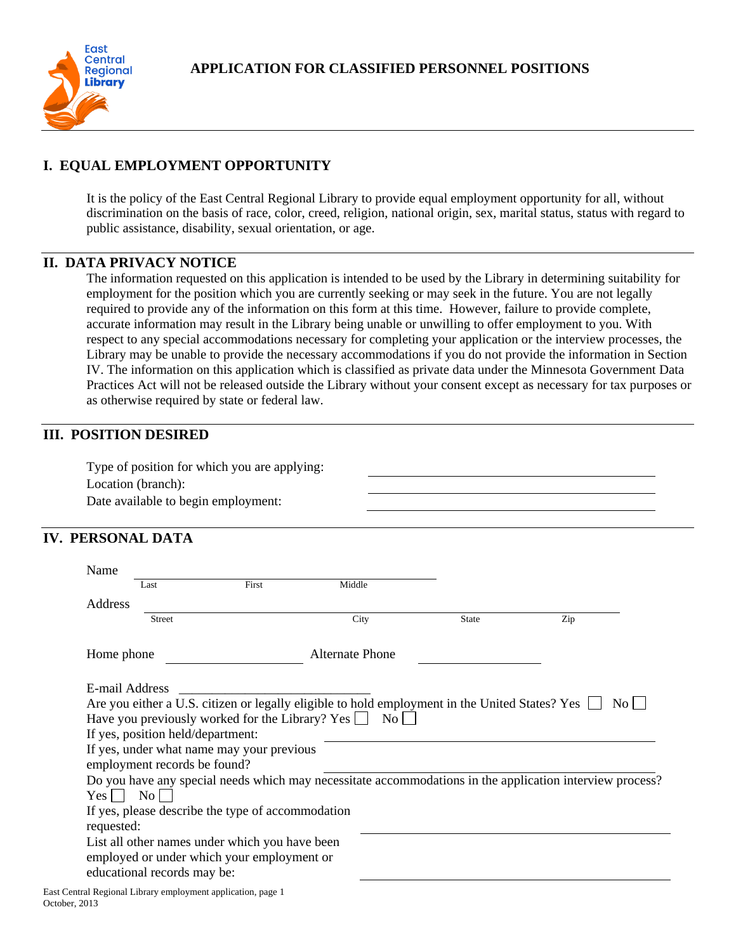

# **I. EQUAL EMPLOYMENT OPPORTUNITY**

It is the policy of the East Central Regional Library to provide equal employment opportunity for all, without discrimination on the basis of race, color, creed, religion, national origin, sex, marital status, status with regard to public assistance, disability, sexual orientation, or age.

#### **II. DATA PRIVACY NOTICE**

The information requested on this application is intended to be used by the Library in determining suitability for employment for the position which you are currently seeking or may seek in the future. You are not legally required to provide any of the information on this form at this time. However, failure to provide complete, accurate information may result in the Library being unable or unwilling to offer employment to you. With respect to any special accommodations necessary for completing your application or the interview processes, the Library may be unable to provide the necessary accommodations if you do not provide the information in Section IV. The information on this application which is classified as private data under the Minnesota Government Data Practices Act will not be released outside the Library without your consent except as necessary for tax purposes or as otherwise required by state or federal law.

### **III. POSITION DESIRED**

Type of position for which you are applying: Location (branch): Date available to begin employment:

### **IV. PERSONAL DATA**

| Name<br>Last                                                                                                                                                                                                                                                           | First | Middle                 |              |                                                                                                          |
|------------------------------------------------------------------------------------------------------------------------------------------------------------------------------------------------------------------------------------------------------------------------|-------|------------------------|--------------|----------------------------------------------------------------------------------------------------------|
| Address                                                                                                                                                                                                                                                                |       |                        |              |                                                                                                          |
| <b>Street</b>                                                                                                                                                                                                                                                          |       | City                   | <b>State</b> | Zip                                                                                                      |
| Home phone                                                                                                                                                                                                                                                             |       | <b>Alternate Phone</b> |              |                                                                                                          |
| E-mail Address<br>Are you either a U.S. citizen or legally eligible to hold employment in the United States? Yes<br>Have you previously worked for the Library? Yes $\Box$ No $\Box$<br>If yes, position held/department:<br>If yes, under what name may your previous |       |                        |              | $\overline{N_{O}}$                                                                                       |
| employment records be found?                                                                                                                                                                                                                                           |       |                        |              | Do you have any special needs which may necessitate accommodations in the application interview process? |
| $Yes \mid \mid No \mid$                                                                                                                                                                                                                                                |       |                        |              |                                                                                                          |
| If yes, please describe the type of accommodation<br>requested:                                                                                                                                                                                                        |       |                        |              |                                                                                                          |
| List all other names under which you have been<br>employed or under which your employment or<br>educational records may be:                                                                                                                                            |       |                        |              |                                                                                                          |
| $\mathbf{r}$ , and the set of the set of the set of the set of the set of the set of the set of the set of the set of the set of the set of the set of the set of the set of the set of the set of the set of the set of the set                                       |       |                        |              |                                                                                                          |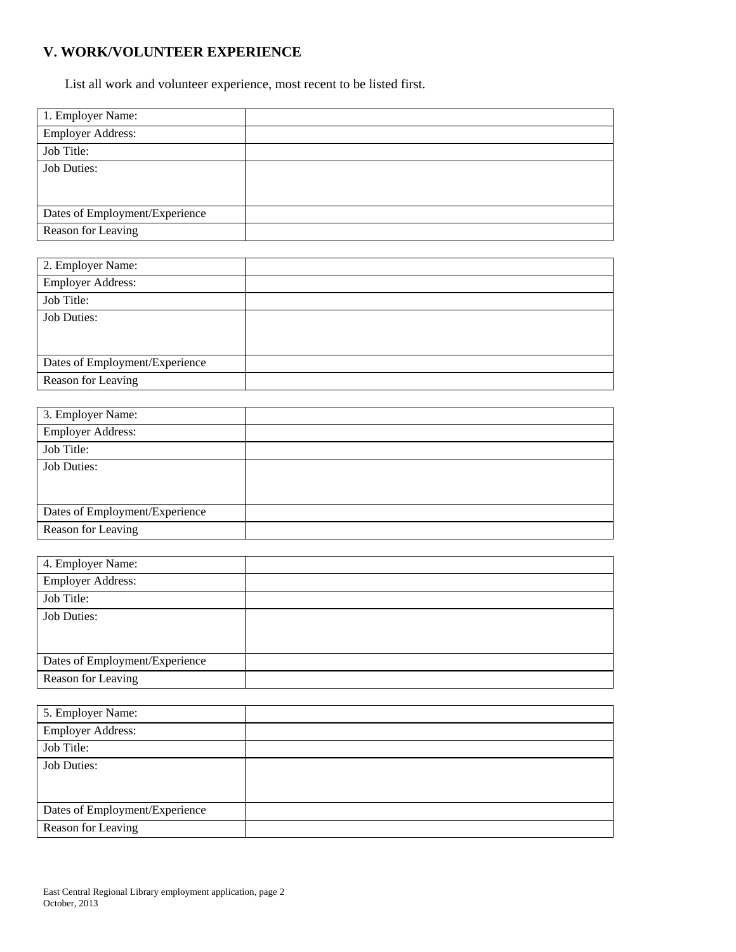# **V. WORK/VOLUNTEER EXPERIENCE**

List all work and volunteer experience, most recent to be listed first.

| 1. Employer Name:              |  |
|--------------------------------|--|
| <b>Employer Address:</b>       |  |
| Job Title:                     |  |
| <b>Job Duties:</b>             |  |
|                                |  |
|                                |  |
| Dates of Employment/Experience |  |
| Reason for Leaving             |  |

| 2. Employer Name:              |  |
|--------------------------------|--|
| <b>Employer Address:</b>       |  |
| Job Title:                     |  |
| <b>Job Duties:</b>             |  |
|                                |  |
|                                |  |
| Dates of Employment/Experience |  |
| Reason for Leaving             |  |

| 3. Employer Name:              |  |
|--------------------------------|--|
| <b>Employer Address:</b>       |  |
| Job Title:                     |  |
| <b>Job Duties:</b>             |  |
|                                |  |
|                                |  |
| Dates of Employment/Experience |  |
| Reason for Leaving             |  |

| 4. Employer Name:              |  |
|--------------------------------|--|
| <b>Employer Address:</b>       |  |
| Job Title:                     |  |
| <b>Job Duties:</b>             |  |
|                                |  |
|                                |  |
| Dates of Employment/Experience |  |
| Reason for Leaving             |  |

| 5. Employer Name:              |  |
|--------------------------------|--|
| <b>Employer Address:</b>       |  |
| Job Title:                     |  |
| <b>Job Duties:</b>             |  |
|                                |  |
|                                |  |
| Dates of Employment/Experience |  |
| Reason for Leaving             |  |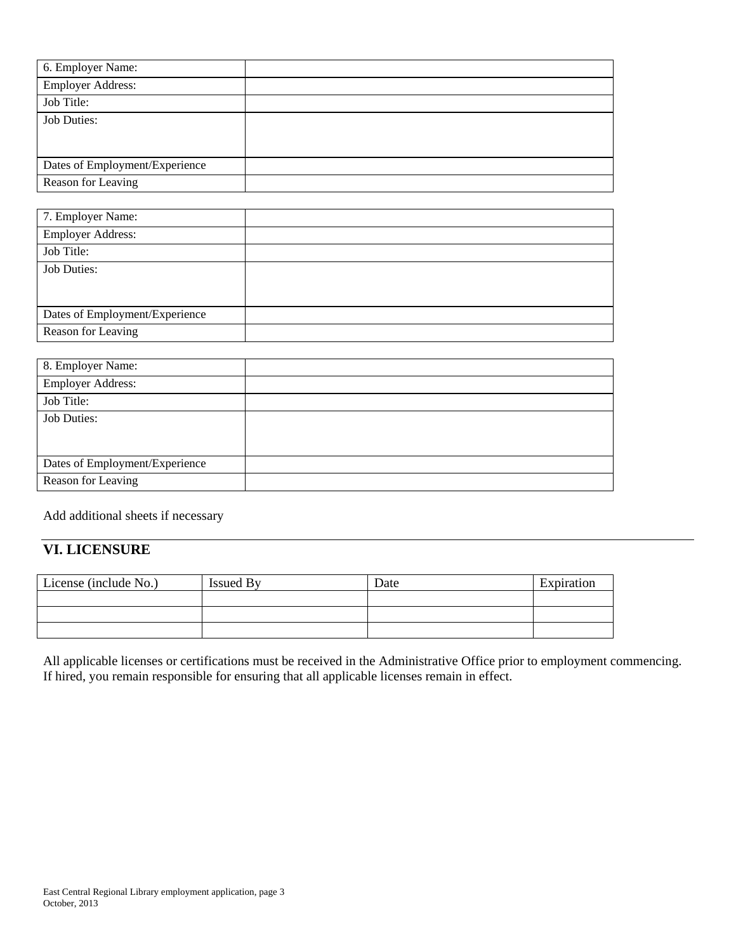| 6. Employer Name:              |  |
|--------------------------------|--|
| <b>Employer Address:</b>       |  |
| Job Title:                     |  |
| <b>Job Duties:</b>             |  |
|                                |  |
|                                |  |
| Dates of Employment/Experience |  |
| Reason for Leaving             |  |

| 7. Employer Name:              |  |
|--------------------------------|--|
| <b>Employer Address:</b>       |  |
| Job Title:                     |  |
| <b>Job Duties:</b>             |  |
|                                |  |
|                                |  |
| Dates of Employment/Experience |  |
| Reason for Leaving             |  |

Add additional sheets if necessary

# **VI. LICENSURE**

| License (include No.) | <b>Issued By</b> | Date | Expiration |
|-----------------------|------------------|------|------------|
|                       |                  |      |            |
|                       |                  |      |            |
|                       |                  |      |            |

All applicable licenses or certifications must be received in the Administrative Office prior to employment commencing. If hired, you remain responsible for ensuring that all applicable licenses remain in effect.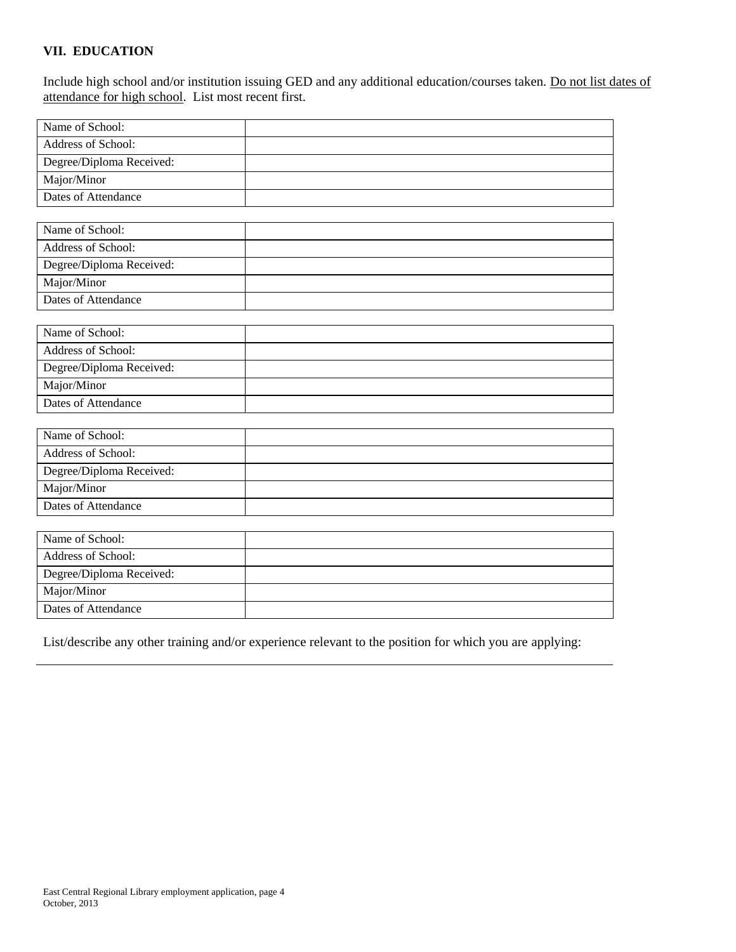#### **VII. EDUCATION**

Include high school and/or institution issuing GED and any additional education/courses taken. Do not list dates of attendance for high school. List most recent first.

| Name of School:          |  |
|--------------------------|--|
| Address of School:       |  |
| Degree/Diploma Received: |  |
| Major/Minor              |  |
| Dates of Attendance      |  |
|                          |  |
| Name of School:          |  |
| Address of School:       |  |
| Degree/Diploma Received: |  |
| Major/Minor              |  |
| Dates of Attendance      |  |
|                          |  |
| Name of School:          |  |
| Address of School:       |  |
| Degree/Diploma Received: |  |
| Major/Minor              |  |
| Dates of Attendance      |  |
|                          |  |
| Name of School:          |  |
| Address of School:       |  |
| Degree/Diploma Received: |  |
| Major/Minor              |  |
| Dates of Attendance      |  |
|                          |  |
| Name of School:          |  |
| Address of School:       |  |

Degree/Diploma Received: Major/Minor Dates of Attendance

List/describe any other training and/or experience relevant to the position for which you are applying: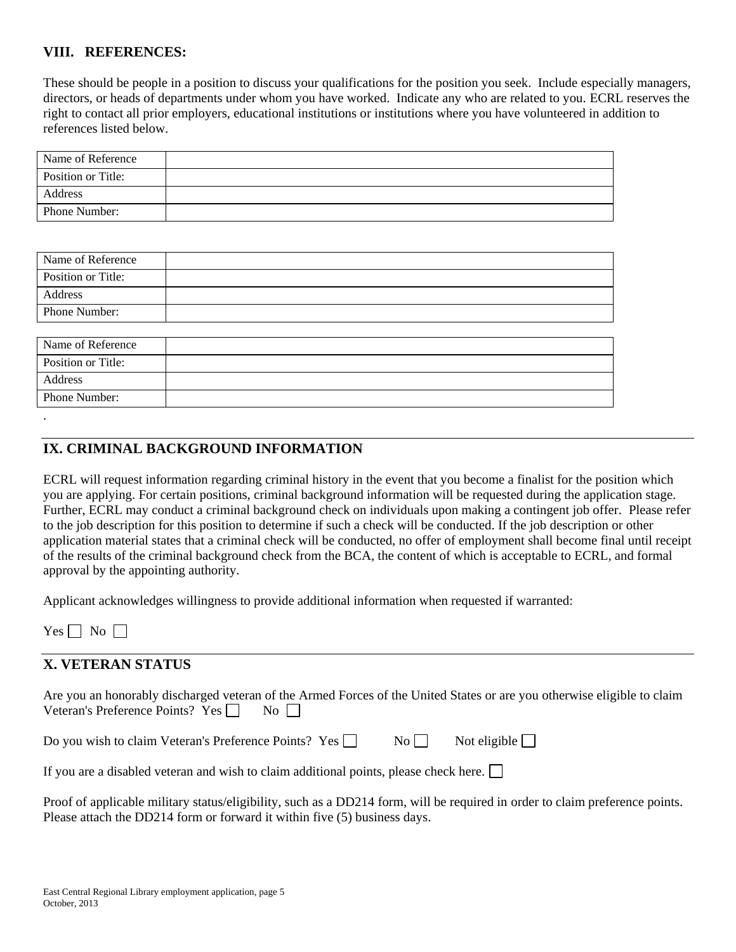#### **VIII. REFERENCES:**

These should be people in a position to discuss your qualifications for the position you seek. Include especially managers, directors, or heads of departments under whom you have worked. Indicate any who are related to you. ECRL reserves the right to contact all prior employers, educational institutions or institutions where you have volunteered in addition to references listed below.

| Name of Reference    |  |
|----------------------|--|
| Position or Title:   |  |
| Address              |  |
| <b>Phone Number:</b> |  |

| Name of Reference  |  |
|--------------------|--|
| Position or Title: |  |
| Address            |  |
| Phone Number:      |  |
|                    |  |

| Name of Reference  |  |
|--------------------|--|
| Position or Title: |  |
| Address            |  |
| Phone Number:      |  |
|                    |  |

### **IX. CRIMINAL BACKGROUND INFORMATION**

ECRL will request information regarding criminal history in the event that you become a finalist for the position which you are applying. For certain positions, criminal background information will be requested during the application stage. Further, ECRL may conduct a criminal background check on individuals upon making a contingent job offer. Please refer to the job description for this position to determine if such a check will be conducted. If the job description or other application material states that a criminal check will be conducted, no offer of employment shall become final until receipt of the results of the criminal background check from the BCA, the content of which is acceptable to ECRL, and formal approval by the appointing authority.

Applicant acknowledges willingness to provide additional information when requested if warranted:

 $Yes \Box No \Box$ 

### **X. VETERAN STATUS**

| Are you an honorably discharged veteran of the Armed Forces of the United States or are you otherwise eligible to claim |  |    |  |  |  |  |
|-------------------------------------------------------------------------------------------------------------------------|--|----|--|--|--|--|
| Veteran's Preference Points? Yes $\Box$                                                                                 |  | No |  |  |  |  |

|  | Do you wish to claim Veteran's Preference Points? Yes |  | $\overline{N_{O}}$ | Not eligible $\Box$ |
|--|-------------------------------------------------------|--|--------------------|---------------------|
|--|-------------------------------------------------------|--|--------------------|---------------------|

If you are a disabled veteran and wish to claim additional points, please check here.

Proof of applicable military status/eligibility, such as a DD214 form, will be required in order to claim preference points. Please attach the DD214 form or forward it within five (5) business days.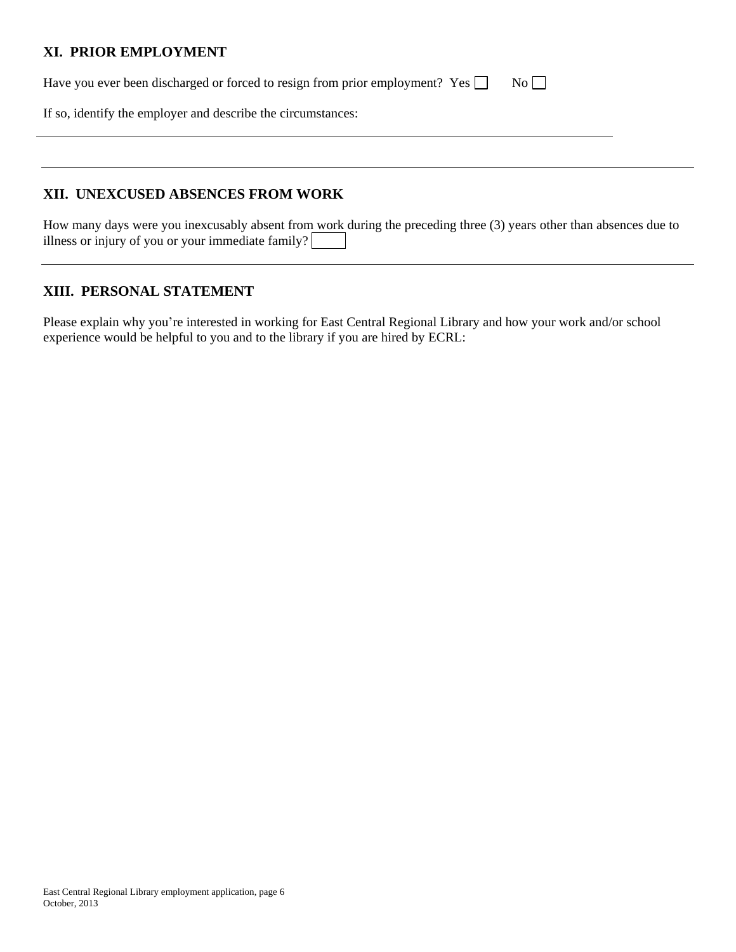### **XI. PRIOR EMPLOYMENT**

Have you ever been discharged or forced to resign from prior employment? Yes  $\Box$  No  $\Box$ 

If so, identify the employer and describe the circumstances:

### **XII. UNEXCUSED ABSENCES FROM WORK**

How many days were you inexcusably absent from work during the preceding three (3) years other than absences due to illness or injury of you or your immediate family?

### **XIII. PERSONAL STATEMENT**

Please explain why you're interested in working for East Central Regional Library and how your work and/or school experience would be helpful to you and to the library if you are hired by ECRL: